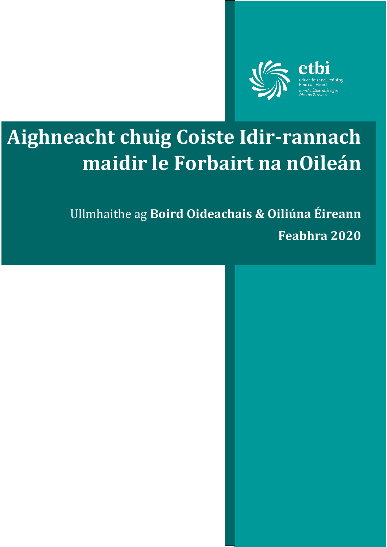

ethi

# **Aighneacht chuig Coiste Idir-rannach maidir le Forbairt na nOileán**

Ullmhaithe ag **Boird Oideachais & Oiliúna Éireann Feabhra 2020**

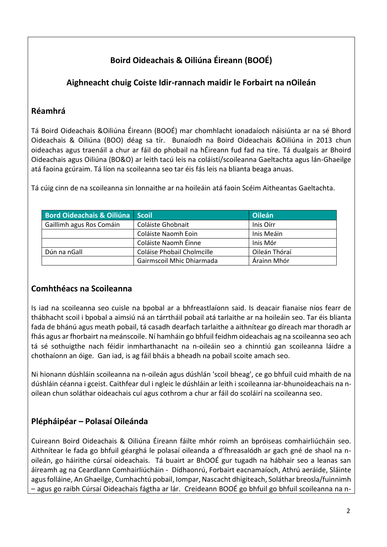# **Boird Oideachais & Oiliúna Éireann (BOOÉ)**

# **Aighneacht chuig Coiste Idir-rannach maidir le Forbairt na nOileán**

## **Réamhrá**

Tá Boird Oideachais &Oiliúna Éireann (BOOÉ) mar chomhlacht ionadaíoch náisiúnta ar na sé Bhord Oideachais & Oiliúna (BOO) déag sa tír. Bunaíodh na Boird Oideachais &Oiliúna in 2013 chun oideachas agus traenáil a chur ar fáil do phobail na hÉireann fud fad na tíre. Tá dualgais ar Bhoird Oideachais agus Oiliúna (BO&O) ar leith tacú leis na coláistí/scoileanna Gaeltachta agus lán-Ghaeilge atá faoina gcúraim. Tá líon na scoileanna seo tar éis fás leis na blianta beaga anuas.

Tá cúig cinn de na scoileanna sin lonnaithe ar na hoileáin atá faoin Scéim Aitheantas Gaeltachta.

| Bord Oideachais & Oiliúna Scoil |                            | Oileán        |
|---------------------------------|----------------------------|---------------|
| Gaillimh agus Ros Comáin        | Coláiste Ghobnait          | Inis Oirr     |
|                                 | Coláiste Naomh Eoin        | Inis Meáin    |
|                                 | Coláiste Naomh Éinne       | Inis Mór      |
| Dún na nGall                    | Coláise Phobail Cholmcille | Oileán Thóraí |
|                                 | Gairmscoil Mhic Dhiarmada  | Árainn Mhór   |

## **Comhthéacs na Scoileanna**

Is iad na scoileanna seo cuisle na bpobal ar a bhfreastlaíonn said. Is deacair fianaise níos fearr de thábhacht scoil i bpobal a aimsiú ná an tárrtháil pobail atá tarlaithe ar na hoileáin seo. Tar éis blianta fada de bhánú agus meath pobail, tá casadh dearfach tarlaithe a aithnítear go díreach mar thoradh ar fhás agus ar fhorbairt na meánscoile. Ní hamháin go bhfuil feidhm oideachais ag na scoileanna seo ach tá sé sothuigthe nach féidir inmharthanacht na n-oileáin seo a chinntiú gan scoileanna láidre a chothaíonn an óige. Gan iad, is ag fáil bháis a bheadh na pobail scoite amach seo.

Ni hionann dúshláin scoileanna na n-oileán agus dúshlán 'scoil bheag', ce go bhfuil cuid mhaith de na dúshláin céanna i gceist. Caithfear dul i ngleic le dúshláin ar leith i scoileanna iar-bhunoideachais na noilean chun soláthar oideachais cuí agus cothrom a chur ar fáil do scoláirí na scoileanna seo.

# **Plépháipéar – Polasaí Oileánda**

Cuireann Boird Oideachais & Oiliúna Éireann fáilte mhór roimh an bpróiseas comhairliúcháin seo. Aithnítear le fada go bhfuil géarghá le polasaí oileanda a d'fhreasalódh ar gach gné de shaol na noileán, go háirithe cúrsaí oideachais. Tá buairt ar BhOOÉ gur tugadh na hábhair seo a leanas san áireamh ag na Ceardlann Comhairliúcháin - Dídhaonrú, Forbairt eacnamaíoch, Athrú aeráide, Sláinte agus folláine, An Ghaeilge, Cumhachtú pobail, Iompar, Nascacht dhigiteach, Soláthar breosla/fuinnimh – agus go raibh Cúrsaí Oideachais fágtha ar lár. Creideann BOOÉ go bhfuil go bhfuil scoileanna na n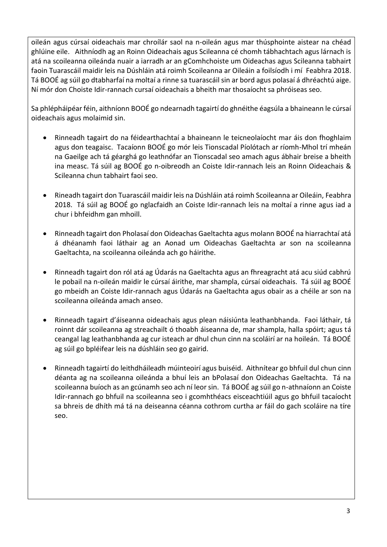oileán agus cúrsaí oideachais mar chroílár saol na n-oileán agus mar thúsphointe aistear na chéad ghlúine eile. Aithníodh ag an Roinn Oideachais agus Scileanna cé chomh tábhachtach agus lárnach is atá na scoileanna oileánda nuair a iarradh ar an gComhchoiste um Oideachas agus Scileanna tabhairt faoin Tuarascáil maidir leis na Dúshláin atá roimh Scoileanna ar Oileáin a foilsíodh i mí Feabhra 2018. Tá BOOÉ ag súil go dtabharfaí na moltaí a rinne sa tuarascáil sin ar bord agus polasaí á dhréachtú aige. Ní mór don Choiste Idir-rannach cursaí oideachais a bheith mar thosaíocht sa phróiseas seo.

Sa phlépháipéar féin, aithníonn BOOÉ go ndearnadh tagairtí do ghnéithe éagsúla a bhaineann le cúrsaí oideachais agus molaimid sin.

- Rinneadh tagairt do na féidearthachtaí a bhaineann le teicneolaíocht mar áis don fhoghlaim agus don teagaisc. Tacaíonn BOOÉ go mór leis Tionscadal Píolótach ar ríomh-Mhol trí mheán na Gaeilge ach tá géarghá go leathnófar an Tionscadal seo amach agus ábhair breise a bheith ina measc. Tá súil ag BOOÉ go n-oibreodh an Coiste Idir-rannach leis an Roinn Oideachais & Scileanna chun tabhairt faoi seo.
- Rineadh tagairt don Tuarascáil maidir leis na Dúshláin atá roimh Scoileanna ar Oileáin, Feabhra 2018. Tá súil ag BOOÉ go nglacfaidh an Coiste Idir-rannach leis na moltaí a rinne agus iad a chur i bhfeidhm gan mhoill.
- Rinneadh tagairt don Pholasaí don Oideachas Gaeltachta agus molann BOOÉ na hiarrachtaí atá á dhéanamh faoi láthair ag an Aonad um Oideachas Gaeltachta ar son na scoileanna Gaeltachta, na scoileanna oileánda ach go háirithe.
- Rinneadh tagairt don ról atá ag Údarás na Gaeltachta agus an fhreagracht atá acu siúd cabhrú le pobail na n-oileán maidir le cúrsaí áirithe, mar shampla, cúrsaí oideachais. Tá súil ag BOOÉ go mbeidh an Coiste Idir-rannach agus Údarás na Gaeltachta agus obair as a chéile ar son na scoileanna oileánda amach anseo.
- Rinneadh tagairt d'áiseanna oideachais agus plean náisiúnta leathanbhanda. Faoi láthair, tá roinnt dár scoileanna ag streachailt ó thoabh áiseanna de, mar shampla, halla spóirt; agus tá ceangal lag leathanbhanda ag cur isteach ar dhul chun cinn na scoláirí ar na hoileán. Tá BOOÉ ag súil go bpléifear leis na dúshláin seo go gairid.
- Rinneadh tagairtí do leithdháileadh múinteoirí agus buiséid. Aithnítear go bhfuil dul chun cinn déanta ag na scoileanna oileánda a bhuí leis an bPolasaí don Oideachas Gaeltachta. Tá na scoileanna buíoch as an gcúnamh seo ach ní leor sin. Tá BOOÉ ag súil go n-athnaíonn an Coiste Idir-rannach go bhfuil na scoileanna seo i gcomhthéacs eisceachtiúil agus go bhfuil tacaíocht sa bhreis de dhíth má tá na deiseanna céanna cothrom curtha ar fáil do gach scoláire na tíre seo.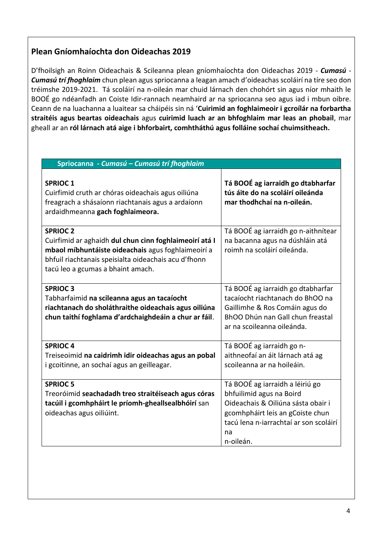# **Plean Gníomhaíochta don Oideachas 2019**

D'fhoilsigh an Roinn Oideachais & Scileanna plean gníomhaíochta don Oideachas 2019 - *Cumasú - Cumasú trí fhoghlaim* chun plean agus spriocanna a leagan amach d'oideachas scoláirí na tíre seo don tréimshe 2019-2021. Tá scoláirí na n-oileán mar chuid lárnach den chohórt sin agus níor mhaith le BOOÉ go ndéanfadh an Coiste Idir-rannach neamhaird ar na spriocanna seo agus iad i mbun oibre. Ceann de na luachanna a luaitear sa cháipéis sin ná '**Cuirimid an foghlaimeoir i gcroílár na forbartha straitéis agus beartas oideachais** agus **cuirimid luach ar an bhfoghlaim mar leas an phobail**, mar gheall ar an **ról lárnach atá aige i bhforbairt, comhtháthú agus folláine sochaí chuimsitheach.**

| Spriocanna - Cumasú - Cumasú trí fhoghlaim                                                                                                                                                                                   |                                                                                                                                                                                                    |  |  |
|------------------------------------------------------------------------------------------------------------------------------------------------------------------------------------------------------------------------------|----------------------------------------------------------------------------------------------------------------------------------------------------------------------------------------------------|--|--|
| <b>SPRIOC1</b><br>Cuirfimid cruth ar chóras oideachais agus oiliúna<br>freagrach a shásaíonn riachtanais agus a ardaíonn<br>ardaidhmeanna gach foghlaimeora.                                                                 | Tá BOOÉ ag iarraidh go dtabharfar<br>tús áite do na scoláirí oileánda<br>mar thodhchaí na n-oileán.                                                                                                |  |  |
| <b>SPRIOC 2</b><br>Cuirfimid ar aghaidh dul chun cinn foghlaimeoirí atá I<br>mbaol míbhuntáiste oideachais agus foghlaimeoirí a<br>bhfuil riachtanais speisialta oideachais acu d'fhonn<br>tacú leo a gcumas a bhaint amach. | Tá BOOÉ ag iarraidh go n-aithnítear<br>na bacanna agus na dúshláin atá<br>roimh na scoláirí oileánda.                                                                                              |  |  |
| <b>SPRIOC3</b><br>Tabharfaimid na scileanna agus an tacaíocht<br>riachtanach do sholáthraithe oideachais agus oiliúna<br>chun taithí foghlama d'ardchaighdeáin a chur ar fáil.                                               | Tá BOOÉ ag iarraidh go dtabharfar<br>tacaíocht riachtanach do BhOO na<br>Gaillimhe & Ros Comáin agus do<br>BhOO Dhún nan Gall chun freastal<br>ar na scoileanna oileánda.                          |  |  |
| <b>SPRIOC4</b><br>Treiseoimid na caidrimh idir oideachas agus an pobal<br>i gcoitinne, an sochaí agus an geilleagar.                                                                                                         | Tá BOOÉ ag iarraidh go n-<br>aithneofaí an áit lárnach atá ag<br>scoileanna ar na hoileáin.                                                                                                        |  |  |
| <b>SPRIOC 5</b><br>Treoróimid seachadadh treo straitéiseach agus córas<br>tacúil i gcomhpháirt le príomh-gheallsealbhóirí san<br>oideachas agus oiliúint.                                                                    | Tá BOOÉ ag iarraidh a léiriú go<br>bhfuilimid agus na Boird<br>Oideachais & Oiliúna sásta obair i<br>gcomhpháirt leis an gCoiste chun<br>tacú lena n-iarrachtaí ar son scoláirí<br>na<br>n-oileán. |  |  |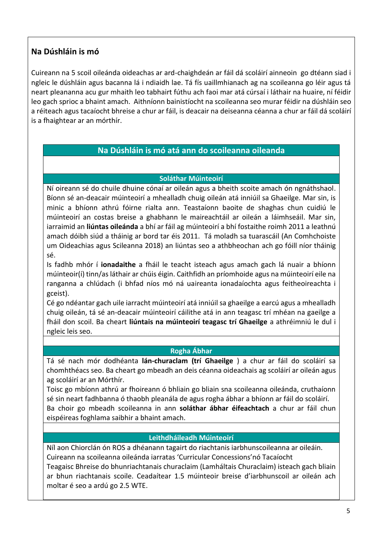## **Na Dúshláin is mó**

Cuireann na 5 scoil oileánda oideachas ar ard-chaighdeán ar fáil dá scoláirí ainneoin go dtéann siad i ngleic le dúshláin agus bacanna lá i ndiaidh lae. Tá fís uaillmhianach ag na scoileanna go léir agus tá neart pleananna acu gur mhaith leo tabhairt fúthu ach faoi mar atá cúrsaí i láthair na huaire, ní féidir leo gach sprioc a bhaint amach. Aithníonn bainistíocht na scoileanna seo murar féidir na dúshláin seo a réiteach agus tacaíocht bhreise a chur ar fáil, is deacair na deiseanna céanna a chur ar fáil dá scoláirí is a fhaightear ar an mórthír.

### **Na Dúshláin is mó atá ann do scoileanna oileanda**

#### **Soláthar Múinteoirí**

Ní oireann sé do chuile dhuine cónaí ar oileán agus a bheith scoite amach ón ngnáthshaol. Bíonn sé an-deacair múinteoirí a mhealladh chuig oileán atá inniúil sa Ghaeilge. Mar sin, is minic a bhíonn athrú fóirne rialta ann. Teastaíonn baoite de shaghas chun cuidiú le múinteoirí an costas breise a ghabhann le maireachtáil ar oileán a láimhseáil. Mar sin, iarraimid an **liúntas oileánda** a bhí ar fáil ag múinteoirí a bhí fostaithe roimh 2011 a leathnú amach dóibh siúd a tháinig ar bord tar éis 2011. Tá moladh sa tuarascáil (An Comhchoiste um Oideachias agus Scileanna 2018) an liúntas seo a athbheochan ach go fóill níor tháinig sé.

Is fadhb mhór í **ionadaithe** a fháil le teacht isteach agus amach gach lá nuair a bhíonn múinteoir(í) tinn/as láthair ar chúis éigin. Caithfidh an príomhoide agus na múinteoirí eile na ranganna a chlúdach (i bhfad níos mó ná uaireanta ionadaíochta agus feitheoireachta i gceist).

Cé go ndéantar gach uile iarracht múinteoirí atá inniúil sa ghaeilge a earcú agus a mhealladh chuig oileán, tá sé an-deacair múinteoirí cáilithe atá in ann teagasc trí mhéan na gaeilge a fháil don scoil. Ba cheart **liúntais na múinteoirí teagasc trí Ghaeilge** a athréimniú le dul i ngleic leis seo.

#### **Rogha Ábhar**

Tá sé nach mór dodhéanta **lán-churaclam (trí Ghaeilge** ) a chur ar fáil do scoláirí sa chomhthéacs seo. Ba cheart go mbeadh an deis céanna oideachais ag scoláirí ar oileán agus ag scoláirí ar an Mórthír.

Toisc go mbíonn athrú ar fhoireann ó bhliain go bliain sna scoileanna oileánda, cruthaíonn sé sin neart fadhbanna ó thaobh pleanála de agus rogha ábhar a bhíonn ar fáil do scoláirí. Ba choir go mbeadh scoileanna in ann **soláthar ábhar éifeachtach** a chur ar fáil chun eispéireas foghlama saibhir a bhaint amach.

#### **Leithdháileadh Múinteoirí**

Níl aon Chiorclán ón ROS a dhéanann tagairt do riachtanis iarbhunscoileanna ar oileáin. Cuireann na scoileanna oileánda iarratas 'Curricular Concessions'nó Tacaíocht Teagaisc Bhreise do bhunriachtanais churaclaim (Lamháltais Churaclaim) isteach gach bliain ar bhun riachtanais scoile. Ceadaítear 1.5 múinteoir breise d'iarbhunscoil ar oileán ach moltar é seo a ardú go 2.5 WTE.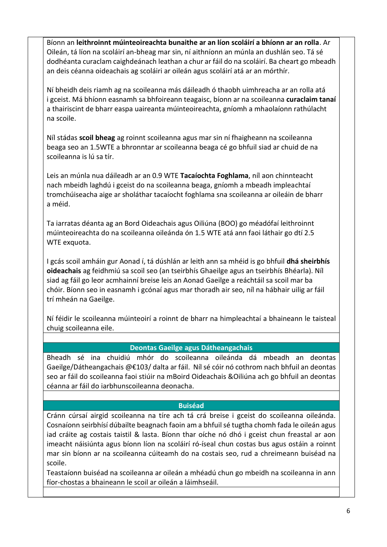Bíonn an **leithroinnt múinteoireachta bunaithe ar an líon scoláirí a bhíonn ar an rolla**. Ar Oileán, tá líon na scoláirí an-bheag mar sin, ní aithníonn an múnla an dushlán seo. Tá sé dodhéanta curaclam caighdeánach leathan a chur ar fáil do na scoláirí. Ba cheart go mbeadh an deis céanna oideachais ag scoláiri ar oileán agus scoláirí atá ar an mórthír.

Ní bheidh deis riamh ag na scoileanna más dáileadh ó thaobh uimhreacha ar an rolla atá i gceist. Má bhíonn easnamh sa bhfoireann teagaisc, bíonn ar na scoileanna **curaclaim tanaí** a thairiscint de bharr easpa uaireanta múinteoireachta, gníomh a mhaolaíonn rathúlacht na scoile.

Níl stádas **scoil bheag** ag roinnt scoileanna agus mar sin ní fhaigheann na scoileanna beaga seo an 1.5WTE a bhronntar ar scoileanna beaga cé go bhfuil siad ar chuid de na scoileanna is lú sa tír.

Leis an múnla nua dáileadh ar an 0.9 WTE **Tacaíochta Foghlama**, níl aon chinnteacht nach mbeidh laghdú i gceist do na scoileanna beaga, gníomh a mbeadh impleachtaí tromchúiseacha aige ar sholáthar tacaíocht foghlama sna scoileanna ar oileáin de bharr a méid.

Ta iarratas déanta ag an Bord Oideachais agus Oiliúna (BOO) go méadófaí leithroinnt múinteoireachta do na scoileanna oileánda ón 1.5 WTE atá ann faoi láthair go dtí 2.5 WTE exquota.

I gcás scoil amháin gur Aonad í, tá dúshlán ar leith ann sa mhéid is go bhfuil **dhá sheirbhís oideachais** ag feidhmiú sa scoil seo (an tseirbhís Ghaeilge agus an tseirbhís Bhéarla). Níl siad ag fáil go leor acmhainní breise leis an Aonad Gaeilge a reáchtáil sa scoil mar ba chóir. Bíonn seo in easnamh i gcónaí agus mar thoradh air seo, níl na hábhair uilig ar fáil trí mheán na Gaeilge.

Ní féidir le scoileanna múinteoirí a roinnt de bharr na himpleachtaí a bhaineann le taisteal chuig scoileanna eile.

#### **Deontas Gaeilge agus Dátheangachais**

Bheadh sé ina chuidiú mhór do scoileanna oileánda dá mbeadh an deontas Gaeilge/Dátheangachais @€103/ dalta ar fáil. Níl sé cóir nó cothrom nach bhfuil an deontas seo ar fáil do scoileanna faoi stiúir na mBoird Oideachais &Oiliúna ach go bhfuil an deontas céanna ar fáil do iarbhunscoileanna deonacha.

#### **Buiséad**

Cránn cúrsaí airgid scoileanna na tíre ach tá crá breise i gceist do scoileanna oileánda. Cosnaíonn seirbhísí dúbailte beagnach faoin am a bhfuil sé tugtha chomh fada le oileán agus iad cráite ag costais taistil & lasta. Bíonn thar oíche nó dhó i gceist chun freastal ar aon imeacht náisiúnta agus bíonn líon na scoláirí ró-íseal chun costas bus agus ostáin a roinnt mar sin bíonn ar na scoileanna cúiteamh do na costais seo, rud a chreimeann buiséad na scoile.

Teastaíonn buiséad na scoileanna ar oileán a mhéadú chun go mbeidh na scoileanna in ann fíor-chostas a bhaineann le scoil ar oileán a láimhseáil.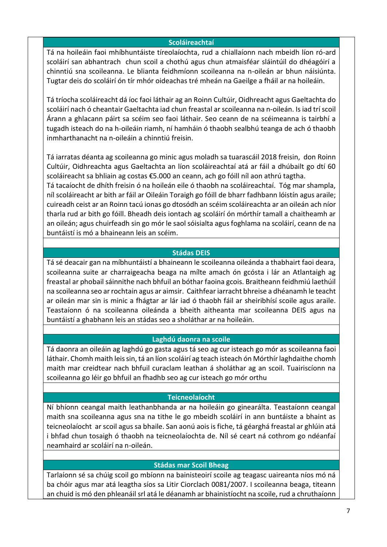#### **Scoláireachtaí**

Tá na hoileáin faoi mhíbhuntáiste tíreolaíochta, rud a chiallaíonn nach mbeidh líon ró-ard scoláirí san abhantrach chun scoil a chothú agus chun atmaisféar sláintúil do dhéagóirí a chinntiú sna scoileanna. Le blianta feidhmíonn scoileanna na n-oileán ar bhun náisiúnta. Tugtar deis do scoláirí ón tír mhór oideachas tré mheán na Gaeilge a fháil ar na hoileáin.

Tá tríocha scoláireacht dá íoc faoi láthair ag an Roinn Cultúir, Oidhreacht agus Gaeltachta do scoláirí nach ó cheantair Gaeltachta iad chun freastal ar scoileanna na n-oileán. Is iad trí scoil Árann a ghlacann páirt sa scéim seo faoi láthair. Seo ceann de na scéimeanna is tairbhí a tugadh isteach do na h-oileáin riamh, ní hamháin ó thaobh sealbhú teanga de ach ó thaobh inmharthanacht na n-oileáin a chinntiú freisin.

Tá iarratas déanta ag scoileanna go minic agus moladh sa tuarascáil 2018 freisin, don Roinn Cultúir, Oidhreachta agus Gaeltachta an líon scoláireachtaí atá ar fáil a dhúbailt go dtí 60 scoláireacht sa bhliain ag costas €5.000 an ceann, ach go fóill níl aon athrú tagtha.

Tá tacaíocht de dhíth freisin ó na hoileán eile ó thaobh na scoláireachtaí. Tóg mar shampla, níl scoláireacht ar bith ar fáil ar Oileáin Toraigh go fóill de bharr fadhbann lóistín agus araile; cuireadh ceist ar an Roinn tacú ionas go dtosódh an scéim scoláireachta ar an oileán ach níor tharla rud ar bith go fóill. Bheadh deis iontach ag scoláirí ón mórthír tamall a chaitheamh ar an oileán; agus chuirfeadh sin go mór le saol sóisialta agus foghlama na scoláirí, ceann de na buntáistí is mó a bhaineann leis an scéim.

#### **Stádas DEIS**

Tá sé deacair gan na míbhuntáistí a bhaineann le scoileanna oileánda a thabhairt faoi deara, scoileanna suite ar charraigeacha beaga na mílte amach ón gcósta i lár an Atlantaigh ag freastal ar phobail sáinnithe nach bhfuil an bóthar faoina gcois. Braitheann feidhmiú laethúil na scoileanna seo ar rochtain agus ar aimsir. Caithfear iarracht bhreise a dhéanamh le teacht ar oileán mar sin is minic a fhágtar ar lár iad ó thaobh fáil ar sheiribhísí scoile agus araile. Teastaíonn ó na scoileanna oileánda a bheith aitheanta mar scoileanna DEIS agus na buntáistí a ghabhann leis an stádas seo a sholáthar ar na hoileáin.

#### **Laghdú daonra na scoile**

Tá daonra an oileáin ag laghdú go gasta agus tá seo ag cur isteach go mór as scoileanna faoi láthair. Chomh maith leis sin, tá an líon scoláirí ag teach isteach ón Mórthír laghdaithe chomh maith mar creidtear nach bhfuil curaclam leathan á sholáthar ag an scoil. Tuairiscíonn na scoileanna go léir go bhfuil an fhadhb seo ag cur isteach go mór orthu

#### **Teicneolaíocht**

Ní bhíonn ceangal maith leathanbhanda ar na hoileáin go ginearálta. Teastaíonn ceangal maith sna scoileanna agus sna na tithe le go mbeidh scoláirí in ann buntáiste a bhaint as teicneolaíocht ar scoil agus sa bhaile. San aonú aois is fiche, tá géarghá freastal ar ghlúin atá i bhfad chun tosaigh ó thaobh na teicneolaíochta de. Níl sé ceart ná cothrom go ndéanfaí neamhaird ar scoláirí na n-oileán.

#### **Stádas mar Scoil Bheag**

Tarlaíonn sé sa chúig scoil go mbíonn na bainisteoirí scoile ag teagasc uaireanta níos mó ná ba chóir agus mar atá leagtha síos sa Litir Ciorclach 0081/2007. I scoileanna beaga, titeann an chuid is mó den phleanáil srl atá le déanamh ar bhainistíocht na scoile, rud a chruthaíonn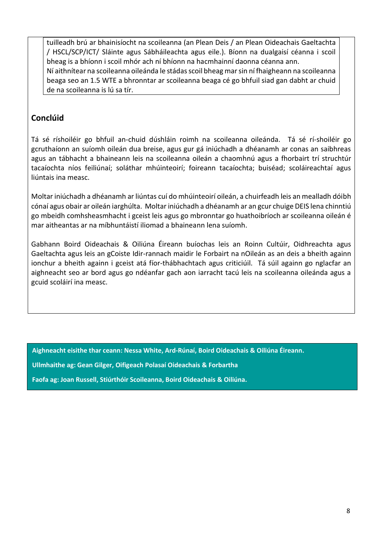tuilleadh brú ar bhainisíocht na scoileanna (an Plean Deis / an Plean Oideachais Gaeltachta / HSCL/SCP/ICT/ Sláinte agus Sábháileachta agus eile.). Bíonn na dualgaisí céanna i scoil bheag is a bhíonn i scoil mhór ach ní bhíonn na hacmhainní daonna céanna ann. Ní aithnítear na scoileanna oileánda le stádas scoil bheag mar sin ní fhaigheann na scoileanna beaga seo an 1.5 WTE a bhronntar ar scoileanna beaga cé go bhfuil siad gan dabht ar chuid de na scoileanna is lú sa tír.

## **Conclúid**

Tá sé ríshoiléir go bhfuil an-chuid dúshláin roimh na scoileanna oileánda. Tá sé rí-shoiléir go gcruthaíonn an suíomh oileán dua breise, agus gur gá iniúchadh a dhéanamh ar conas an saibhreas agus an tábhacht a bhaineann leis na scoileanna oileán a chaomhnú agus a fhorbairt trí struchtúr tacaíochta níos feiliúnaí; soláthar mhúinteoirí; foireann tacaíochta; buiséad; scoláireachtaí agus liúntais ina measc.

Moltar iniúchadh a dhéanamh ar liúntas cuí do mhúinteoirí oileán, a chuirfeadh leis an mealladh dóibh cónaí agus obair ar oileán iarghúlta. Moltar iniúchadh a dhéanamh ar an gcur chuige DEIS lena chinntiú go mbeidh comhsheasmhacht i gceist leis agus go mbronntar go huathoibríoch ar scoileanna oileán é mar aitheantas ar na míbhuntáistí iliomad a bhaineann lena suíomh.

Gabhann Boird Oideachais & Oiliúna Éireann buíochas leis an Roinn Cultúir, Oidhreachta agus Gaeltachta agus leis an gCoiste Idir-rannach maidir le Forbairt na nOileán as an deis a bheith againn ionchur a bheith againn i gceist atá fíor-thábhachtach agus criticiúil. Tá súil againn go nglacfar an aighneacht seo ar bord agus go ndéanfar gach aon iarracht tacú leis na scoileanna oileánda agus a gcuid scoláirí ina measc.

**Aighneacht eisithe thar ceann: Nessa White, Ard-Rúnaí, Boird Oideachais & Oiliúna Éireann.**

**Ullmhaithe ag: Gean Gilger, Oifigeach Polasaí Oideachais & Forbartha**

**Faofa ag: Joan Russell, Stiúrthóir Scoileanna, Boird Oideachais & Oiliúna.**